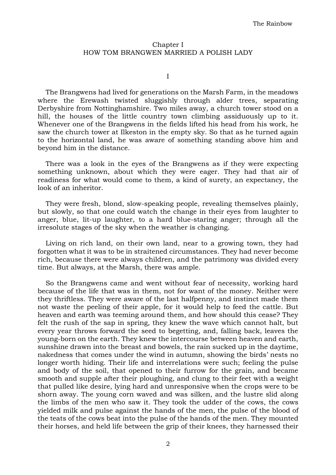## Chapter I HOW TOM BRANGWEN MARRIED A POLISH LADY

I

The Brangwens had lived for generations on the Marsh Farm, in the meadows where the Erewash twisted sluggishly through alder trees, separating Derbyshire from Nottinghamshire. Two miles away, a church tower stood on a hill, the houses of the little country town climbing assiduously up to it. Whenever one of the Brangwens in the fields lifted his head from his work, he saw the church tower at Ilkeston in the empty sky. So that as he turned again to the horizontal land, he was aware of something standing above him and beyond him in the distance.

There was a look in the eyes of the Brangwens as if they were expecting something unknown, about which they were eager. They had that air of readiness for what would come to them, a kind of surety, an expectancy, the look of an inheritor.

They were fresh, blond, slow-speaking people, revealing themselves plainly, but slowly, so that one could watch the change in their eyes from laughter to anger, blue, lit-up laughter, to a hard blue-staring anger; through all the irresolute stages of the sky when the weather is changing.

Living on rich land, on their own land, near to a growing town, they had forgotten what it was to be in straitened circumstances. They had never become rich, because there were always children, and the patrimony was divided every time. But always, at the Marsh, there was ample.

So the Brangwens came and went without fear of necessity, working hard because of the life that was in them, not for want of the money. Neither were they thriftless. They were aware of the last halfpenny, and instinct made them not waste the peeling of their apple, for it would help to feed the cattle. But heaven and earth was teeming around them, and how should this cease? They felt the rush of the sap in spring, they knew the wave which cannot halt, but every year throws forward the seed to begetting, and, falling back, leaves the young-born on the earth. They knew the intercourse between heaven and earth, sunshine drawn into the breast and bowels, the rain sucked up in the daytime, nakedness that comes under the wind in autumn, showing the birds' nests no longer worth hiding. Their life and interrelations were such; feeling the pulse and body of the soil, that opened to their furrow for the grain, and became smooth and supple after their ploughing, and clung to their feet with a weight that pulled like desire, lying hard and unresponsive when the crops were to be shorn away. The young corn waved and was silken, and the lustre slid along the limbs of the men who saw it. They took the udder of the cows, the cows yielded milk and pulse against the hands of the men, the pulse of the blood of the teats of the cows beat into the pulse of the hands of the men. They mounted their horses, and held life between the grip of their knees, they harnessed their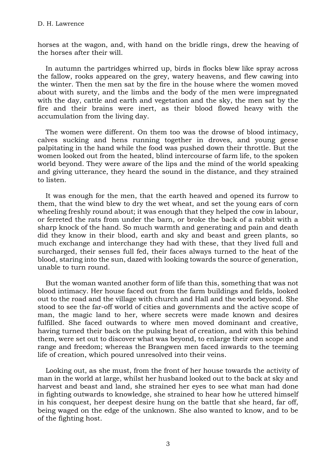horses at the wagon, and, with hand on the bridle rings, drew the heaving of the horses after their will.

In autumn the partridges whirred up, birds in flocks blew like spray across the fallow, rooks appeared on the grey, watery heavens, and flew cawing into the winter. Then the men sat by the fire in the house where the women moved about with surety, and the limbs and the body of the men were impregnated with the day, cattle and earth and vegetation and the sky, the men sat by the fire and their brains were inert, as their blood flowed heavy with the accumulation from the living day.

The women were different. On them too was the drowse of blood intimacy, calves sucking and hens running together in droves, and young geese palpitating in the hand while the food was pushed down their throttle. But the women looked out from the heated, blind intercourse of farm life, to the spoken world beyond. They were aware of the lips and the mind of the world speaking and giving utterance, they heard the sound in the distance, and they strained to listen.

It was enough for the men, that the earth heaved and opened its furrow to them, that the wind blew to dry the wet wheat, and set the young ears of corn wheeling freshly round about; it was enough that they helped the cow in labour, or ferreted the rats from under the barn, or broke the back of a rabbit with a sharp knock of the hand. So much warmth and generating and pain and death did they know in their blood, earth and sky and beast and green plants, so much exchange and interchange they had with these, that they lived full and surcharged, their senses full fed, their faces always turned to the heat of the blood, staring into the sun, dazed with looking towards the source of generation, unable to turn round.

But the woman wanted another form of life than this, something that was not blood intimacy. Her house faced out from the farm buildings and fields, looked out to the road and the village with church and Hall and the world beyond. She stood to see the far-off world of cities and governments and the active scope of man, the magic land to her, where secrets were made known and desires fulfilled. She faced outwards to where men moved dominant and creative, having turned their back on the pulsing heat of creation, and with this behind them, were set out to discover what was beyond, to enlarge their own scope and range and freedom; whereas the Brangwen men faced inwards to the teeming life of creation, which poured unresolved into their veins.

Looking out, as she must, from the front of her house towards the activity of man in the world at large, whilst her husband looked out to the back at sky and harvest and beast and land, she strained her eyes to see what man had done in fighting outwards to knowledge, she strained to hear how he uttered himself in his conquest, her deepest desire hung on the battle that she heard, far off, being waged on the edge of the unknown. She also wanted to know, and to be of the fighting host.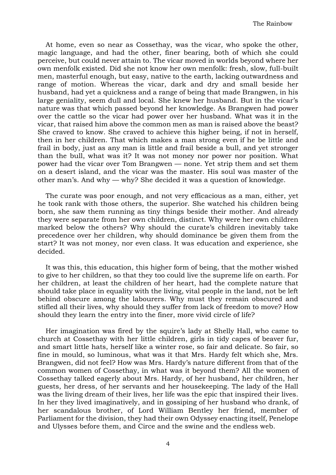At home, even so near as Cossethay, was the vicar, who spoke the other, magic language, and had the other, finer bearing, both of which she could perceive, but could never attain to. The vicar moved in worlds beyond where her own menfolk existed. Did she not know her own menfolk: fresh, slow, full-built men, masterful enough, but easy, native to the earth, lacking outwardness and range of motion. Whereas the vicar, dark and dry and small beside her husband, had yet a quickness and a range of being that made Brangwen, in his large geniality, seem dull and local. She knew her husband. But in the vicar's nature was that which passed beyond her knowledge. As Brangwen had power over the cattle so the vicar had power over her husband. What was it in the vicar, that raised him above the common men as man is raised above the beast? She craved to know. She craved to achieve this higher being, if not in herself, then in her children. That which makes a man strong even if he be little and frail in body, just as any man is little and frail beside a bull, and yet stronger than the bull, what was it? It was not money nor power nor position. What power had the vicar over Tom Brangwen — none. Yet strip them and set them on a desert island, and the vicar was the master. His soul was master of the other man's. And why — why? She decided it was a question of knowledge.

The curate was poor enough, and not very efficacious as a man, either, yet he took rank with those others, the superior. She watched his children being born, she saw them running as tiny things beside their mother. And already they were separate from her own children, distinct. Why were her own children marked below the others? Why should the curate's children inevitably take precedence over her children, why should dominance be given them from the start? It was not money, nor even class. It was education and experience, she decided.

It was this, this education, this higher form of being, that the mother wished to give to her children, so that they too could live the supreme life on earth. For her children, at least the children of her heart, had the complete nature that should take place in equality with the living, vital people in the land, not be left behind obscure among the labourers. Why must they remain obscured and stifled all their lives, why should they suffer from lack of freedom to move? How should they learn the entry into the finer, more vivid circle of life?

Her imagination was fired by the squire's lady at Shelly Hall, who came to church at Cossethay with her little children, girls in tidy capes of beaver fur, and smart little hats, herself like a winter rose, so fair and delicate. So fair, so fine in mould, so luminous, what was it that Mrs. Hardy felt which she, Mrs. Brangwen, did not feel? How was Mrs. Hardy's nature different from that of the common women of Cossethay, in what was it beyond them? All the women of Cossethay talked eagerly about Mrs. Hardy, of her husband, her children, her guests, her dress, of her servants and her housekeeping. The lady of the Hall was the living dream of their lives, her life was the epic that inspired their lives. In her they lived imaginatively, and in gossiping of her husband who drank, of her scandalous brother, of Lord William Bentley her friend, member of Parliament for the division, they had their own Odyssey enacting itself, Penelope and Ulysses before them, and Circe and the swine and the endless web.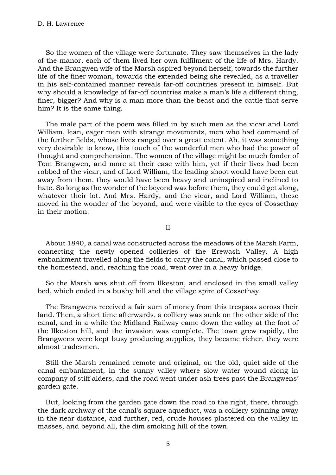So the women of the village were fortunate. They saw themselves in the lady of the manor, each of them lived her own fulfilment of the life of Mrs. Hardy. And the Brangwen wife of the Marsh aspired beyond herself, towards the further life of the finer woman, towards the extended being she revealed, as a traveller in his self-contained manner reveals far-off countries present in himself. But why should a knowledge of far-off countries make a man's life a different thing, finer, bigger? And why is a man more than the beast and the cattle that serve him? It is the same thing.

The male part of the poem was filled in by such men as the vicar and Lord William, lean, eager men with strange movements, men who had command of the further fields, whose lives ranged over a great extent. Ah, it was something very desirable to know, this touch of the wonderful men who had the power of thought and comprehension. The women of the village might be much fonder of Tom Brangwen, and more at their ease with him, yet if their lives had been robbed of the vicar, and of Lord William, the leading shoot would have been cut away from them, they would have been heavy and uninspired and inclined to hate. So long as the wonder of the beyond was before them, they could get along, whatever their lot. And Mrs. Hardy, and the vicar, and Lord William, these moved in the wonder of the beyond, and were visible to the eyes of Cossethay in their motion.

II

About 1840, a canal was constructed across the meadows of the Marsh Farm, connecting the newly opened collieries of the Erewash Valley. A high embankment travelled along the fields to carry the canal, which passed close to the homestead, and, reaching the road, went over in a heavy bridge.

So the Marsh was shut off from Ilkeston, and enclosed in the small valley bed, which ended in a bushy hill and the village spire of Cossethay.

The Brangwens received a fair sum of money from this trespass across their land. Then, a short time afterwards, a colliery was sunk on the other side of the canal, and in a while the Midland Railway came down the valley at the foot of the Ilkeston hill, and the invasion was complete. The town grew rapidly, the Brangwens were kept busy producing supplies, they became richer, they were almost tradesmen.

Still the Marsh remained remote and original, on the old, quiet side of the canal embankment, in the sunny valley where slow water wound along in company of stiff alders, and the road went under ash trees past the Brangwens' garden gate.

But, looking from the garden gate down the road to the right, there, through the dark archway of the canal's square aqueduct, was a colliery spinning away in the near distance, and further, red, crude houses plastered on the valley in masses, and beyond all, the dim smoking hill of the town.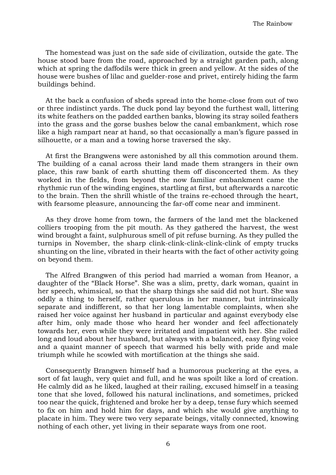The homestead was just on the safe side of civilization, outside the gate. The house stood bare from the road, approached by a straight garden path, along which at spring the daffodils were thick in green and yellow. At the sides of the house were bushes of lilac and guelder-rose and privet, entirely hiding the farm buildings behind.

At the back a confusion of sheds spread into the home-close from out of two or three indistinct yards. The duck pond lay beyond the furthest wall, littering its white feathers on the padded earthen banks, blowing its stray soiled feathers into the grass and the gorse bushes below the canal embankment, which rose like a high rampart near at hand, so that occasionally a man's figure passed in silhouette, or a man and a towing horse traversed the sky.

At first the Brangwens were astonished by all this commotion around them. The building of a canal across their land made them strangers in their own place, this raw bank of earth shutting them off disconcerted them. As they worked in the fields, from beyond the now familiar embankment came the rhythmic run of the winding engines, startling at first, but afterwards a narcotic to the brain. Then the shrill whistle of the trains re-echoed through the heart, with fearsome pleasure, announcing the far-off come near and imminent.

As they drove home from town, the farmers of the land met the blackened colliers trooping from the pit mouth. As they gathered the harvest, the west wind brought a faint, sulphurous smell of pit refuse burning. As they pulled the turnips in November, the sharp clink-clink-clink-clink-clink of empty trucks shunting on the line, vibrated in their hearts with the fact of other activity going on beyond them.

The Alfred Brangwen of this period had married a woman from Heanor, a daughter of the "Black Horse". She was a slim, pretty, dark woman, quaint in her speech, whimsical, so that the sharp things she said did not hurt. She was oddly a thing to herself, rather querulous in her manner, but intrinsically separate and indifferent, so that her long lamentable complaints, when she raised her voice against her husband in particular and against everybody else after him, only made those who heard her wonder and feel affectionately towards her, even while they were irritated and impatient with her. She railed long and loud about her husband, but always with a balanced, easy flying voice and a quaint manner of speech that warmed his belly with pride and male triumph while he scowled with mortification at the things she said.

Consequently Brangwen himself had a humorous puckering at the eyes, a sort of fat laugh, very quiet and full, and he was spoilt like a lord of creation. He calmly did as he liked, laughed at their railing, excused himself in a teasing tone that she loved, followed his natural inclinations, and sometimes, pricked too near the quick, frightened and broke her by a deep, tense fury which seemed to fix on him and hold him for days, and which she would give anything to placate in him. They were two very separate beings, vitally connected, knowing nothing of each other, yet living in their separate ways from one root.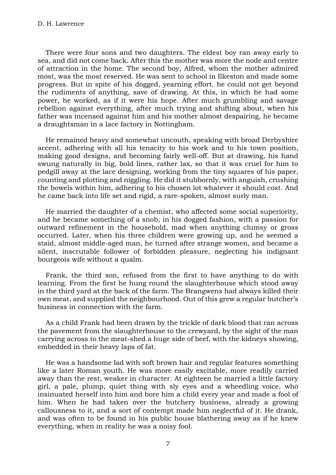There were four sons and two daughters. The eldest boy ran away early to sea, and did not come back. After this the mother was more the node and centre of attraction in the home. The second boy, Alfred, whom the mother admired most, was the most reserved. He was sent to school in Ilkeston and made some progress. But in spite of his dogged, yearning effort, he could not get beyond the rudiments of anything, save of drawing. At this, in which he had some power, he worked, as if it were his hope. After much grumbling and savage rebellion against everything, after much trying and shifting about, when his father was incensed against him and his mother almost despairing, he became a draughtsman in a lace factory in Nottingham.

He remained heavy and somewhat uncouth, speaking with broad Derbyshire accent, adhering with all his tenacity to his work and to his town position, making good designs, and becoming fairly well-off. But at drawing, his hand swung naturally in big, bold lines, rather lax, so that it was cruel for him to pedgill away at the lace designing, working from the tiny squares of his paper, counting and plotting and niggling. He did it stubbornly, with anguish, crushing the bowels within him, adhering to his chosen lot whatever it should cost. And he came back into life set and rigid, a rare-spoken, almost surly man.

He married the daughter of a chemist, who affected some social superiority, and he became something of a snob, in his dogged fashion, with a passion for outward refinement in the household, mad when anything clumsy or gross occurred. Later, when his three children were growing up, and he seemed a staid, almost middle-aged man, he turned after strange women, and became a silent, inscrutable follower of forbidden pleasure, neglecting his indignant bourgeois wife without a qualm.

Frank, the third son, refused from the first to have anything to do with learning. From the first he hung round the slaughterhouse which stood away in the third yard at the back of the farm. The Brangwens had always killed their own meat, and supplied the neighbourhood. Out of this grew a regular butcher's business in connection with the farm.

As a child Frank had been drawn by the trickle of dark blood that ran across the pavement from the slaughterhouse to the crewyard, by the sight of the man carrying across to the meat-shed a huge side of beef, with the kidneys showing, embedded in their heavy laps of fat.

He was a handsome lad with soft brown hair and regular features something like a later Roman youth. He was more easily excitable, more readily carried away than the rest, weaker in character. At eighteen he married a little factory girl, a pale, plump, quiet thing with sly eyes and a wheedling voice, who insinuated herself into him and bore him a child every year and made a fool of him. When he had taken over the butchery business, already a growing callousness to it, and a sort of contempt made him neglectful of it. He drank, and was often to be found in his public house blathering away as if he knew everything, when in reality he was a noisy fool.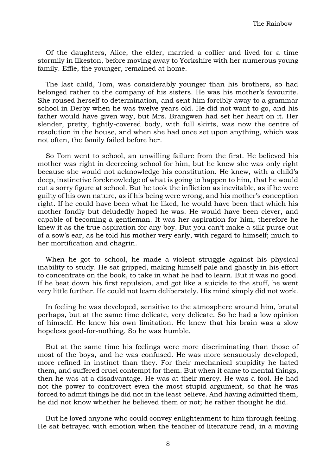Of the daughters, Alice, the elder, married a collier and lived for a time stormily in Ilkeston, before moving away to Yorkshire with her numerous young family. Effie, the younger, remained at home.

The last child, Tom, was considerably younger than his brothers, so had belonged rather to the company of his sisters. He was his mother's favourite. She roused herself to determination, and sent him forcibly away to a grammar school in Derby when he was twelve years old. He did not want to go, and his father would have given way, but Mrs. Brangwen had set her heart on it. Her slender, pretty, tightly-covered body, with full skirts, was now the centre of resolution in the house, and when she had once set upon anything, which was not often, the family failed before her.

So Tom went to school, an unwilling failure from the first. He believed his mother was right in decreeing school for him, but he knew she was only right because she would not acknowledge his constitution. He knew, with a child's deep, instinctive foreknowledge of what is going to happen to him, that he would cut a sorry figure at school. But he took the infliction as inevitable, as if he were guilty of his own nature, as if his being were wrong, and his mother's conception right. If he could have been what he liked, he would have been that which his mother fondly but deludedly hoped he was. He would have been clever, and capable of becoming a gentleman. It was her aspiration for him, therefore he knew it as the true aspiration for any boy. But you can't make a silk purse out of a sow's ear, as he told his mother very early, with regard to himself; much to her mortification and chagrin.

When he got to school, he made a violent struggle against his physical inability to study. He sat gripped, making himself pale and ghastly in his effort to concentrate on the book, to take in what he had to learn. But it was no good. If he beat down his first repulsion, and got like a suicide to the stuff, he went very little further. He could not learn deliberately. His mind simply did not work.

In feeling he was developed, sensitive to the atmosphere around him, brutal perhaps, but at the same time delicate, very delicate. So he had a low opinion of himself. He knew his own limitation. He knew that his brain was a slow hopeless good-for-nothing. So he was humble.

But at the same time his feelings were more discriminating than those of most of the boys, and he was confused. He was more sensuously developed, more refined in instinct than they. For their mechanical stupidity he hated them, and suffered cruel contempt for them. But when it came to mental things, then he was at a disadvantage. He was at their mercy. He was a fool. He had not the power to controvert even the most stupid argument, so that he was forced to admit things he did not in the least believe. And having admitted them, he did not know whether he believed them or not; he rather thought he did.

But he loved anyone who could convey enlightenment to him through feeling. He sat betrayed with emotion when the teacher of literature read, in a moving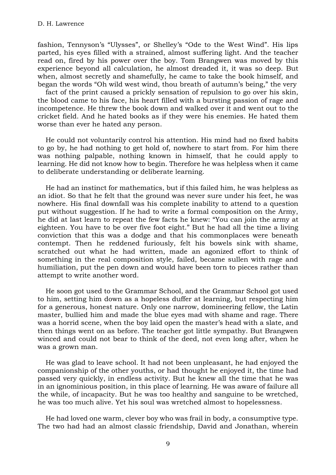fashion, Tennyson's "Ulysses", or Shelley's "Ode to the West Wind". His lips parted, his eyes filled with a strained, almost suffering light. And the teacher read on, fired by his power over the boy. Tom Brangwen was moved by this experience beyond all calculation, he almost dreaded it, it was so deep. But when, almost secretly and shamefully, he came to take the book himself, and began the words "Oh wild west wind, thou breath of autumn's being," the very

fact of the print caused a prickly sensation of repulsion to go over his skin, the blood came to his face, his heart filled with a bursting passion of rage and incompetence. He threw the book down and walked over it and went out to the cricket field. And he hated books as if they were his enemies. He hated them worse than ever he hated any person.

He could not voluntarily control his attention. His mind had no fixed habits to go by, he had nothing to get hold of, nowhere to start from. For him there was nothing palpable, nothing known in himself, that he could apply to learning. He did not know how to begin. Therefore he was helpless when it came to deliberate understanding or deliberate learning.

He had an instinct for mathematics, but if this failed him, he was helpless as an idiot. So that he felt that the ground was never sure under his feet, he was nowhere. His final downfall was his complete inability to attend to a question put without suggestion. If he had to write a formal composition on the Army, he did at last learn to repeat the few facts he knew: "You can join the army at eighteen. You have to be over five foot eight." But he had all the time a living conviction that this was a dodge and that his commonplaces were beneath contempt. Then he reddened furiously, felt his bowels sink with shame, scratched out what he had written, made an agonized effort to think of something in the real composition style, failed, became sullen with rage and humiliation, put the pen down and would have been torn to pieces rather than attempt to write another word.

He soon got used to the Grammar School, and the Grammar School got used to him, setting him down as a hopeless duffer at learning, but respecting him for a generous, honest nature. Only one narrow, domineering fellow, the Latin master, bullied him and made the blue eyes mad with shame and rage. There was a horrid scene, when the boy laid open the master's head with a slate, and then things went on as before. The teacher got little sympathy. But Brangwen winced and could not bear to think of the deed, not even long after, when he was a grown man.

He was glad to leave school. It had not been unpleasant, he had enjoyed the companionship of the other youths, or had thought he enjoyed it, the time had passed very quickly, in endless activity. But he knew all the time that he was in an ignominious position, in this place of learning. He was aware of failure all the while, of incapacity. But he was too healthy and sanguine to be wretched, he was too much alive. Yet his soul was wretched almost to hopelessness.

He had loved one warm, clever boy who was frail in body, a consumptive type. The two had had an almost classic friendship, David and Jonathan, wherein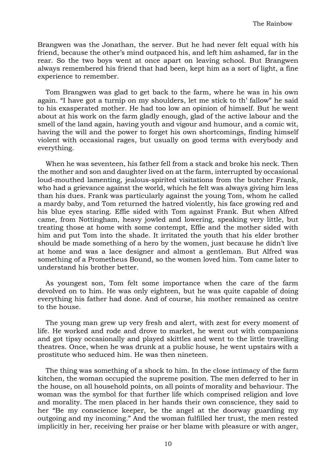Brangwen was the Jonathan, the server. But he had never felt equal with his friend, because the other's mind outpaced his, and left him ashamed, far in the rear. So the two boys went at once apart on leaving school. But Brangwen always remembered his friend that had been, kept him as a sort of light, a fine experience to remember.

Tom Brangwen was glad to get back to the farm, where he was in his own again. "I have got a turnip on my shoulders, let me stick to th' fallow" he said to his exasperated mother. He had too low an opinion of himself. But he went about at his work on the farm gladly enough, glad of the active labour and the smell of the land again, having youth and vigour and humour, and a comic wit, having the will and the power to forget his own shortcomings, finding himself violent with occasional rages, but usually on good terms with everybody and everything.

When he was seventeen, his father fell from a stack and broke his neck. Then the mother and son and daughter lived on at the farm, interrupted by occasional loud-mouthed lamenting, jealous-spirited visitations from the butcher Frank, who had a grievance against the world, which he felt was always giving him less than his dues. Frank was particularly against the young Tom, whom he called a mardy baby, and Tom returned the hatred violently, his face growing red and his blue eyes staring. Effie sided with Tom against Frank. But when Alfred came, from Nottingham, heavy jowled and lowering, speaking very little, but treating those at home with some contempt, Effie and the mother sided with him and put Tom into the shade. It irritated the youth that his elder brother should be made something of a hero by the women, just because he didn't live at home and was a lace designer and almost a gentleman. But Alfred was something of a Prometheus Bound, so the women loved him. Tom came later to understand his brother better.

As youngest son, Tom felt some importance when the care of the farm devolved on to him. He was only eighteen, but he was quite capable of doing everything his father had done. And of course, his mother remained as centre to the house.

The young man grew up very fresh and alert, with zest for every moment of life. He worked and rode and drove to market, he went out with companions and got tipsy occasionally and played skittles and went to the little travelling theatres. Once, when he was drunk at a public house, he went upstairs with a prostitute who seduced him. He was then nineteen.

The thing was something of a shock to him. In the close intimacy of the farm kitchen, the woman occupied the supreme position. The men deferred to her in the house, on all household points, on all points of morality and behaviour. The woman was the symbol for that further life which comprised religion and love and morality. The men placed in her hands their own conscience, they said to her "Be my conscience keeper, be the angel at the doorway guarding my outgoing and my incoming." And the woman fulfilled her trust, the men rested implicitly in her, receiving her praise or her blame with pleasure or with anger,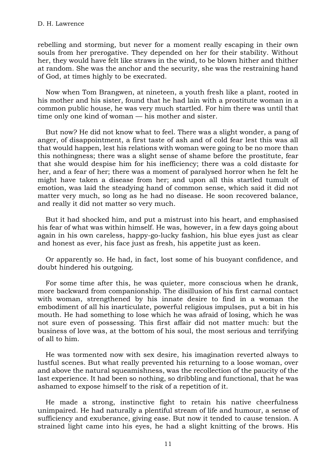rebelling and storming, but never for a moment really escaping in their own souls from her prerogative. They depended on her for their stability. Without her, they would have felt like straws in the wind, to be blown hither and thither at random. She was the anchor and the security, she was the restraining hand of God, at times highly to be execrated.

Now when Tom Brangwen, at nineteen, a youth fresh like a plant, rooted in his mother and his sister, found that he had lain with a prostitute woman in a common public house, he was very much startled. For him there was until that time only one kind of woman — his mother and sister.

But now? He did not know what to feel. There was a slight wonder, a pang of anger, of disappointment, a first taste of ash and of cold fear lest this was all that would happen, lest his relations with woman were going to be no more than this nothingness; there was a slight sense of shame before the prostitute, fear that she would despise him for his inefficiency; there was a cold distaste for her, and a fear of her; there was a moment of paralysed horror when he felt he might have taken a disease from her; and upon all this startled tumult of emotion, was laid the steadying hand of common sense, which said it did not matter very much, so long as he had no disease. He soon recovered balance, and really it did not matter so very much.

But it had shocked him, and put a mistrust into his heart, and emphasised his fear of what was within himself. He was, however, in a few days going about again in his own careless, happy-go-lucky fashion, his blue eyes just as clear and honest as ever, his face just as fresh, his appetite just as keen.

Or apparently so. He had, in fact, lost some of his buoyant confidence, and doubt hindered his outgoing.

For some time after this, he was quieter, more conscious when he drank, more backward from companionship. The disillusion of his first carnal contact with woman, strengthened by his innate desire to find in a woman the embodiment of all his inarticulate, powerful religious impulses, put a bit in his mouth. He had something to lose which he was afraid of losing, which he was not sure even of possessing. This first affair did not matter much: but the business of love was, at the bottom of his soul, the most serious and terrifying of all to him.

He was tormented now with sex desire, his imagination reverted always to lustful scenes. But what really prevented his returning to a loose woman, over and above the natural squeamishness, was the recollection of the paucity of the last experience. It had been so nothing, so dribbling and functional, that he was ashamed to expose himself to the risk of a repetition of it.

He made a strong, instinctive fight to retain his native cheerfulness unimpaired. He had naturally a plentiful stream of life and humour, a sense of sufficiency and exuberance, giving ease. But now it tended to cause tension. A strained light came into his eyes, he had a slight knitting of the brows. His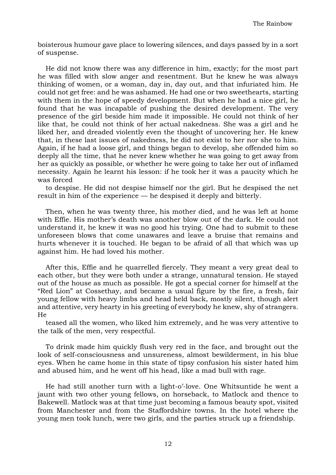boisterous humour gave place to lowering silences, and days passed by in a sort of suspense.

He did not know there was any difference in him, exactly; for the most part he was filled with slow anger and resentment. But he knew he was always thinking of women, or a woman, day in, day out, and that infuriated him. He could not get free: and he was ashamed. He had one or two sweethearts, starting with them in the hope of speedy development. But when he had a nice girl, he found that he was incapable of pushing the desired development. The very presence of the girl beside him made it impossible. He could not think of her like that, he could not think of her actual nakedness. She was a girl and he liked her, and dreaded violently even the thought of uncovering her. He knew that, in these last issues of nakedness, he did not exist to her nor she to him. Again, if he had a loose girl, and things began to develop, she offended him so deeply all the time, that he never knew whether he was going to get away from her as quickly as possible, or whether he were going to take her out of inflamed necessity. Again he learnt his lesson: if he took her it was a paucity which he was forced

to despise. He did not despise himself nor the girl. But he despised the net result in him of the experience — he despised it deeply and bitterly.

Then, when he was twenty three, his mother died, and he was left at home with Effie. His mother's death was another blow out of the dark. He could not understand it, he knew it was no good his trying. One had to submit to these unforeseen blows that come unawares and leave a bruise that remains and hurts whenever it is touched. He began to be afraid of all that which was up against him. He had loved his mother.

After this, Effie and he quarrelled fiercely. They meant a very great deal to each other, but they were both under a strange, unnatural tension. He stayed out of the house as much as possible. He got a special corner for himself at the "Red Lion" at Cossethay, and became a usual figure by the fire, a fresh, fair young fellow with heavy limbs and head held back, mostly silent, though alert and attentive, very hearty in his greeting of everybody he knew, shy of strangers. He

teased all the women, who liked him extremely, and he was very attentive to the talk of the men, very respectful.

To drink made him quickly flush very red in the face, and brought out the look of self-consciousness and unsureness, almost bewilderment, in his blue eyes. When he came home in this state of tipsy confusion his sister hated him and abused him, and he went off his head, like a mad bull with rage.

He had still another turn with a light-o'-love. One Whitsuntide he went a jaunt with two other young fellows, on horseback, to Matlock and thence to Bakewell. Matlock was at that time just becoming a famous beauty spot, visited from Manchester and from the Staffordshire towns. In the hotel where the young men took lunch, were two girls, and the parties struck up a friendship.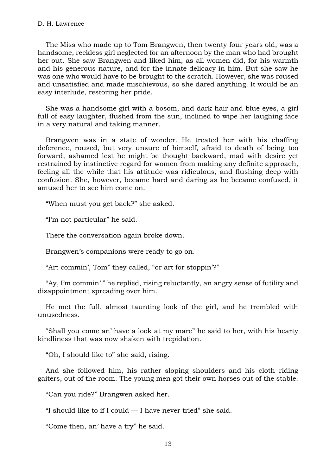## D. H. Lawrence

The Miss who made up to Tom Brangwen, then twenty four years old, was a handsome, reckless girl neglected for an afternoon by the man who had brought her out. She saw Brangwen and liked him, as all women did, for his warmth and his generous nature, and for the innate delicacy in him. But she saw he was one who would have to be brought to the scratch. However, she was roused and unsatisfied and made mischievous, so she dared anything. It would be an easy interlude, restoring her pride.

She was a handsome girl with a bosom, and dark hair and blue eyes, a girl full of easy laughter, flushed from the sun, inclined to wipe her laughing face in a very natural and taking manner.

Brangwen was in a state of wonder. He treated her with his chaffing deference, roused, but very unsure of himself, afraid to death of being too forward, ashamed lest he might be thought backward, mad with desire yet restrained by instinctive regard for women from making any definite approach, feeling all the while that his attitude was ridiculous, and flushing deep with confusion. She, however, became hard and daring as he became confused, it amused her to see him come on.

"When must you get back?" she asked.

"I'm not particular" he said.

There the conversation again broke down.

Brangwen's companions were ready to go on.

"Art commin', Tom" they called, "or art for stoppin'?"

"Ay, I'm commin' " he replied, rising reluctantly, an angry sense of futility and disappointment spreading over him.

He met the full, almost taunting look of the girl, and he trembled with unusedness.

"Shall you come an' have a look at my mare" he said to her, with his hearty kindliness that was now shaken with trepidation.

"Oh, I should like to" she said, rising.

And she followed him, his rather sloping shoulders and his cloth riding gaiters, out of the room. The young men got their own horses out of the stable.

"Can you ride?" Brangwen asked her.

"I should like to if I could — I have never tried" she said.

"Come then, an' have a try" he said.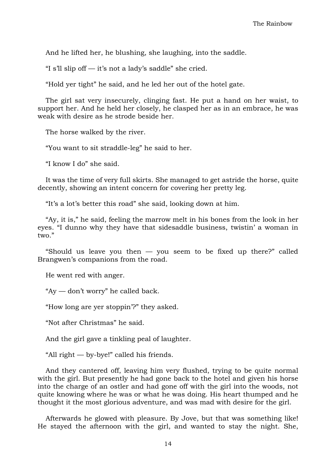And he lifted her, he blushing, she laughing, into the saddle.

"I s'll slip of  $-$  it's not a lady's saddle" she cried.

"Hold yer tight" he said, and he led her out of the hotel gate.

The girl sat very insecurely, clinging fast. He put a hand on her waist, to support her. And he held her closely, he clasped her as in an embrace, he was weak with desire as he strode beside her.

The horse walked by the river.

"You want to sit straddle-leg" he said to her.

"I know I do" she said.

It was the time of very full skirts. She managed to get astride the horse, quite decently, showing an intent concern for covering her pretty leg.

"It's a lot's better this road" she said, looking down at him.

"Ay, it is," he said, feeling the marrow melt in his bones from the look in her eyes. "I dunno why they have that sidesaddle business, twistin' a woman in two."

"Should us leave you then  $-$  you seem to be fixed up there?" called Brangwen's companions from the road.

He went red with anger.

"Ay — don't worry" he called back.

"How long are yer stoppin'?" they asked.

"Not after Christmas" he said.

And the girl gave a tinkling peal of laughter.

"All right — by-bye!" called his friends.

And they cantered off, leaving him very flushed, trying to be quite normal with the girl. But presently he had gone back to the hotel and given his horse into the charge of an ostler and had gone off with the girl into the woods, not quite knowing where he was or what he was doing. His heart thumped and he thought it the most glorious adventure, and was mad with desire for the girl.

Afterwards he glowed with pleasure. By Jove, but that was something like! He stayed the afternoon with the girl, and wanted to stay the night. She,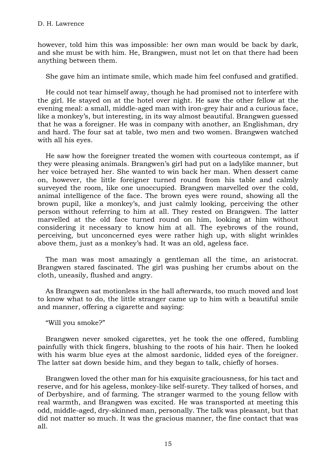however, told him this was impossible: her own man would be back by dark, and she must be with him. He, Brangwen, must not let on that there had been anything between them.

She gave him an intimate smile, which made him feel confused and gratified.

He could not tear himself away, though he had promised not to interfere with the girl. He stayed on at the hotel over night. He saw the other fellow at the evening meal: a small, middle-aged man with iron-grey hair and a curious face, like a monkey's, but interesting, in its way almost beautiful. Brangwen guessed that he was a foreigner. He was in company with another, an Englishman, dry and hard. The four sat at table, two men and two women. Brangwen watched with all his eyes.

He saw how the foreigner treated the women with courteous contempt, as if they were pleasing animals. Brangwen's girl had put on a ladylike manner, but her voice betrayed her. She wanted to win back her man. When dessert came on, however, the little foreigner turned round from his table and calmly surveyed the room, like one unoccupied. Brangwen marvelled over the cold, animal intelligence of the face. The brown eyes were round, showing all the brown pupil, like a monkey's, and just calmly looking, perceiving the other person without referring to him at all. They rested on Brangwen. The latter marvelled at the old face turned round on him, looking at him without considering it necessary to know him at all. The eyebrows of the round, perceiving, but unconcerned eyes were rather high up, with slight wrinkles above them, just as a monkey's had. It was an old, ageless face.

The man was most amazingly a gentleman all the time, an aristocrat. Brangwen stared fascinated. The girl was pushing her crumbs about on the cloth, uneasily, flushed and angry.

As Brangwen sat motionless in the hall afterwards, too much moved and lost to know what to do, the little stranger came up to him with a beautiful smile and manner, offering a cigarette and saying:

"Will you smoke?"

Brangwen never smoked cigarettes, yet he took the one offered, fumbling painfully with thick fingers, blushing to the roots of his hair. Then he looked with his warm blue eyes at the almost sardonic, lidded eyes of the foreigner. The latter sat down beside him, and they began to talk, chiefly of horses.

Brangwen loved the other man for his exquisite graciousness, for his tact and reserve, and for his ageless, monkey-like self-surety. They talked of horses, and of Derbyshire, and of farming. The stranger warmed to the young fellow with real warmth, and Brangwen was excited. He was transported at meeting this odd, middle-aged, dry-skinned man, personally. The talk was pleasant, but that did not matter so much. It was the gracious manner, the fine contact that was all.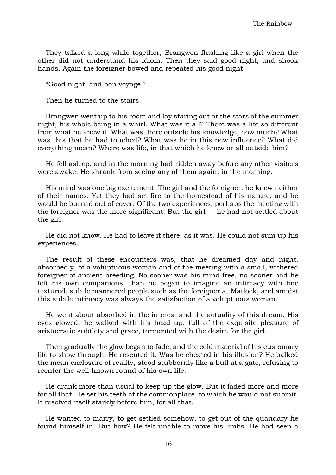They talked a long while together, Brangwen flushing like a girl when the other did not understand his idiom. Then they said good night, and shook hands. Again the foreigner bowed and repeated his good night.

"Good night, and bon voyage."

Then he turned to the stairs.

Brangwen went up to his room and lay staring out at the stars of the summer night, his whole being in a whirl. What was it all? There was a life so different from what he knew it. What was there outside his knowledge, how much? What was this that he had touched? What was he in this new influence? What did everything mean? Where was life, in that which he knew or all outside him?

He fell asleep, and in the morning had ridden away before any other visitors were awake. He shrank from seeing any of them again, in the morning.

His mind was one big excitement. The girl and the foreigner: he knew neither of their names. Yet they had set fire to the homestead of his nature, and he would be burned out of cover. Of the two experiences, perhaps the meeting with the foreigner was the more significant. But the girl — he had not settled about the girl.

He did not know. He had to leave it there, as it was. He could not sum up his experiences.

The result of these encounters was, that he dreamed day and night, absorbedly, of a voluptuous woman and of the meeting with a small, withered foreigner of ancient breeding. No sooner was his mind free, no sooner had he left his own companions, than he began to imagine an intimacy with fine textured, subtle mannered people such as the foreigner at Matlock, and amidst this subtle intimacy was always the satisfaction of a voluptuous woman.

He went about absorbed in the interest and the actuality of this dream. His eyes glowed, he walked with his head up, full of the exquisite pleasure of aristocratic subtlety and grace, tormented with the desire for the girl.

Then gradually the glow began to fade, and the cold material of his customary life to show through. He resented it. Was he cheated in his illusion? He balked the mean enclosure of reality, stood stubbornly like a bull at a gate, refusing to reenter the well-known round of his own life.

He drank more than usual to keep up the glow. But it faded more and more for all that. He set his teeth at the commonplace, to which he would not submit. It resolved itself starkly before him, for all that.

He wanted to marry, to get settled somehow, to get out of the quandary he found himself in. But how? He felt unable to move his limbs. He had seen a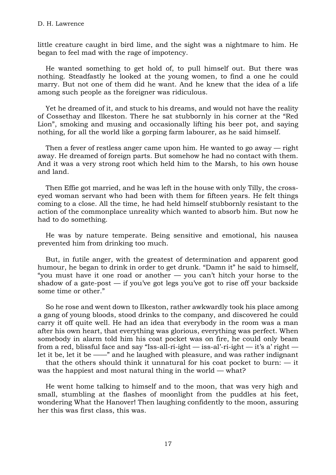little creature caught in bird lime, and the sight was a nightmare to him. He began to feel mad with the rage of impotency.

He wanted something to get hold of, to pull himself out. But there was nothing. Steadfastly he looked at the young women, to find a one he could marry. But not one of them did he want. And he knew that the idea of a life among such people as the foreigner was ridiculous.

Yet he dreamed of it, and stuck to his dreams, and would not have the reality of Cossethay and Ilkeston. There he sat stubbornly in his corner at the "Red Lion", smoking and musing and occasionally lifting his beer pot, and saying nothing, for all the world like a gorping farm labourer, as he said himself.

Then a fever of restless anger came upon him. He wanted to go away — right away. He dreamed of foreign parts. But somehow he had no contact with them. And it was a very strong root which held him to the Marsh, to his own house and land.

Then Effie got married, and he was left in the house with only Tilly, the crosseyed woman servant who had been with them for fifteen years. He felt things coming to a close. All the time, he had held himself stubbornly resistant to the action of the commonplace unreality which wanted to absorb him. But now he had to do something.

He was by nature temperate. Being sensitive and emotional, his nausea prevented him from drinking too much.

But, in futile anger, with the greatest of determination and apparent good humour, he began to drink in order to get drunk. "Damn it" he said to himself, "you must have it one road or another — you can't hitch your horse to the shadow of a gate-post  $-$  if you've got legs you've got to rise off your backside some time or other."

So he rose and went down to Ilkeston, rather awkwardly took his place among a gang of young bloods, stood drinks to the company, and discovered he could carry it off quite well. He had an idea that everybody in the room was a man after his own heart, that everything was glorious, everything was perfect. When somebody in alarm told him his coat pocket was on fire, he could only beam from a red, blissful face and say "Iss-all-ri-ight — iss-al'-ri-ight — it's a' right let it be, let it be ——" and he laughed with pleasure, and was rather indignant

that the others should think it unnatural for his coat pocket to burn:  $-$  it was the happiest and most natural thing in the world — what?

He went home talking to himself and to the moon, that was very high and small, stumbling at the flashes of moonlight from the puddles at his feet, wondering What the Hanover! Then laughing confidently to the moon, assuring her this was first class, this was.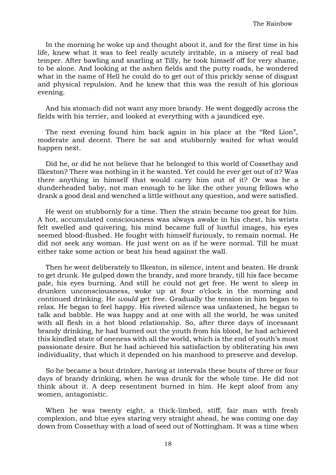In the morning he woke up and thought about it, and for the first time in his life, knew what it was to feel really acutely irritable, in a misery of real bad temper. After bawling and snarling at Tilly, he took himself off for very shame, to be alone. And looking at the ashen fields and the putty roads, he wondered what in the name of Hell he could do to get out of this prickly sense of disgust and physical repulsion. And he knew that this was the result of his glorious evening.

And his stomach did not want any more brandy. He went doggedly across the fields with his terrier, and looked at everything with a jaundiced eye.

The next evening found him back again in his place at the "Red Lion", moderate and decent. There he sat and stubbornly waited for what would happen next.

Did he, or did he not believe that he belonged to this world of Cossethay and Ilkeston? There was nothing in it he wanted. Yet could he ever get out of it? Was there anything in himself that would carry him out of it? Or was he a dunderheaded baby, not man enough to be like the other young fellows who drank a good deal and wenched a little without any question, and were satisfied.

He went on stubbornly for a time. Then the strain became too great for him. A hot, accumulated consciousness was always awake in his chest, his wrists felt swelled and quivering, his mind became full of lustful images, his eyes seemed blood-flushed. He fought with himself furiously, to remain normal. He did not seek any woman. He just went on as if he were normal. Till he must either take some action or beat his head against the wall.

Then he went deliberately to Ilkeston, in silence, intent and beaten. He drank to get drunk. He gulped down the brandy, and more brandy, till his face became pale, his eyes burning. And still he could not get free. He went to sleep in drunken unconsciousness, woke up at four o'clock in the morning and continued drinking. He *would* get free. Gradually the tension in him began to relax. He began to feel happy. His riveted silence was unfastened, he began to talk and babble. He was happy and at one with all the world, he was united with all flesh in a hot blood relationship. So, after three days of incessant brandy drinking, he had burned out the youth from his blood, he had achieved this kindled state of oneness with all the world, which is the end of youth's most passionate desire. But he had achieved his satisfaction by obliterating his own individuality, that which it depended on his manhood to preserve and develop.

So he became a bout drinker, having at intervals these bouts of three or four days of brandy drinking, when he was drunk for the whole time. He did not think about it. A deep resentment burned in him. He kept aloof from any women, antagonistic.

When he was twenty eight, a thick-limbed, stiff, fair man with fresh complexion, and blue eyes staring very straight ahead, he was coming one day down from Cossethay with a load of seed out of Nottingham. It was a time when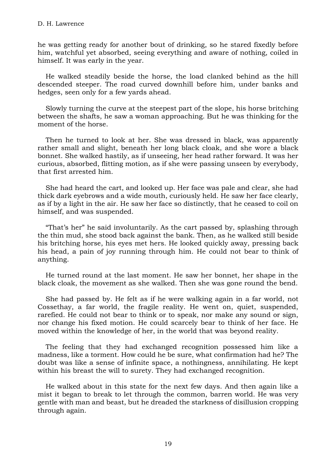he was getting ready for another bout of drinking, so he stared fixedly before him, watchful yet absorbed, seeing everything and aware of nothing, coiled in himself. It was early in the year.

He walked steadily beside the horse, the load clanked behind as the hill descended steeper. The road curved downhill before him, under banks and hedges, seen only for a few yards ahead.

Slowly turning the curve at the steepest part of the slope, his horse britching between the shafts, he saw a woman approaching. But he was thinking for the moment of the horse.

Then he turned to look at her. She was dressed in black, was apparently rather small and slight, beneath her long black cloak, and she wore a black bonnet. She walked hastily, as if unseeing, her head rather forward. It was her curious, absorbed, flitting motion, as if she were passing unseen by everybody, that first arrested him.

She had heard the cart, and looked up. Her face was pale and clear, she had thick dark eyebrows and a wide mouth, curiously held. He saw her face clearly, as if by a light in the air. He saw her face so distinctly, that he ceased to coil on himself, and was suspended.

"That's her" he said involuntarily. As the cart passed by, splashing through the thin mud, she stood back against the bank. Then, as he walked still beside his britching horse, his eyes met hers. He looked quickly away, pressing back his head, a pain of joy running through him. He could not bear to think of anything.

He turned round at the last moment. He saw her bonnet, her shape in the black cloak, the movement as she walked. Then she was gone round the bend.

She had passed by. He felt as if he were walking again in a far world, not Cossethay, a far world, the fragile reality. He went on, quiet, suspended, rarefied. He could not bear to think or to speak, nor make any sound or sign, nor change his fixed motion. He could scarcely bear to think of her face. He moved within the knowledge of her, in the world that was beyond reality.

The feeling that they had exchanged recognition possessed him like a madness, like a torment. How could he be sure, what confirmation had he? The doubt was like a sense of infinite space, a nothingness, annihilating. He kept within his breast the will to surety. They had exchanged recognition.

He walked about in this state for the next few days. And then again like a mist it began to break to let through the common, barren world. He was very gentle with man and beast, but he dreaded the starkness of disillusion cropping through again.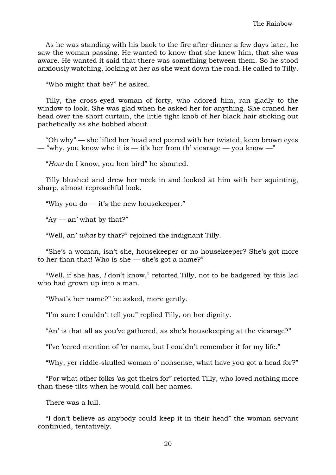As he was standing with his back to the fire after dinner a few days later, he saw the woman passing. He wanted to know that she knew him, that she was aware. He wanted it said that there was something between them. So he stood anxiously watching, looking at her as she went down the road. He called to Tilly.

"Who might that be?" he asked.

Tilly, the cross-eyed woman of forty, who adored him, ran gladly to the window to look. She was glad when he asked her for anything. She craned her head over the short curtain, the little tight knob of her black hair sticking out pathetically as she bobbed about.

"Oh why" — she lifted her head and peered with her twisted, keen brown eyes — "why, you know who it is — it's her from th' vicarage — you know —"

"*How* do I know, you hen bird" he shouted.

Tilly blushed and drew her neck in and looked at him with her squinting, sharp, almost reproachful look.

"Why you do — it's the new housekeeper."

" $Ay$  — an' what by that?"

"Well, an' *what* by that?" rejoined the indignant Tilly.

"She's a woman, isn't she, housekeeper or no housekeeper? She's got more to her than that! Who is she  $-$  she's got a name?"

"Well, if she has, *I* don't know," retorted Tilly, not to be badgered by this lad who had grown up into a man.

"What's her name?" he asked, more gently.

"I'm sure I couldn't tell you" replied Tilly, on her dignity.

"An' is that all as you've gathered, as she's housekeeping at the vicarage?"

"I've 'eered mention of 'er name, but I couldn't remember it for my life."

"Why, yer riddle-skulled woman o' nonsense, what have you got a head for?"

"For what other folks 'as got theirs for" retorted Tilly, who loved nothing more than these tilts when he would call her names.

There was a lull.

"I don't believe as anybody could keep it in their head" the woman servant continued, tentatively.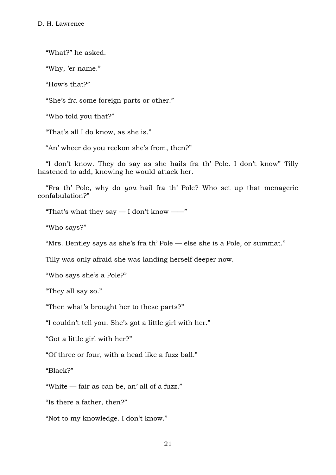"What?" he asked.

"Why, 'er name."

"How's that?"

"She's fra some foreign parts or other."

"Who told you that?"

"That's all I do know, as she is."

"An' wheer do you reckon she's from, then?"

"I don't know. They do say as she hails fra th' Pole. I don't know" Tilly hastened to add, knowing he would attack her.

"Fra th' Pole, why do *you* hail fra th' Pole? Who set up that menagerie confabulation?"

"That's what they say  $-$  I don't know  $-\cdot$ "

"Who says?"

"Mrs. Bentley says as she's fra th' Pole — else she is a Pole, or summat."

Tilly was only afraid she was landing herself deeper now.

"Who says she's a Pole?"

"They all say so."

"Then what's brought her to these parts?"

"I couldn't tell you. She's got a little girl with her."

"Got a little girl with her?"

"Of three or four, with a head like a fuzz ball."

"Black?"

"White — fair as can be, an' all of a fuzz."

"Is there a father, then?"

"Not to my knowledge. I don't know."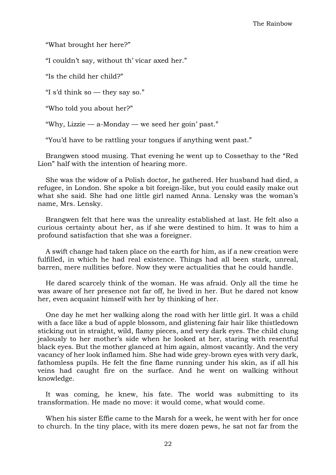"What brought her here?"

"I couldn't say, without th' vicar axed her."

"Is the child her child?"

"I s'd think so — they say so."

"Who told you about her?"

"Why, Lizzie — a-Monday — we seed her goin' past."

"You'd have to be rattling your tongues if anything went past."

Brangwen stood musing. That evening he went up to Cossethay to the "Red Lion" half with the intention of hearing more.

She was the widow of a Polish doctor, he gathered. Her husband had died, a refugee, in London. She spoke a bit foreign-like, but you could easily make out what she said. She had one little girl named Anna. Lensky was the woman's name, Mrs. Lensky.

Brangwen felt that here was the unreality established at last. He felt also a curious certainty about her, as if she were destined to him. It was to him a profound satisfaction that she was a foreigner.

A swift change had taken place on the earth for him, as if a new creation were fulfilled, in which he had real existence. Things had all been stark, unreal, barren, mere nullities before. Now they were actualities that he could handle.

He dared scarcely think of the woman. He was afraid. Only all the time he was aware of her presence not far off, he lived in her. But he dared not know her, even acquaint himself with her by thinking of her.

One day he met her walking along the road with her little girl. It was a child with a face like a bud of apple blossom, and glistening fair hair like thistledown sticking out in straight, wild, flamy pieces, and very dark eyes. The child clung jealously to her mother's side when he looked at her, staring with resentful black eyes. But the mother glanced at him again, almost vacantly. And the very vacancy of her look inflamed him. She had wide grey-brown eyes with very dark, fathomless pupils. He felt the fine flame running under his skin, as if all his veins had caught fire on the surface. And he went on walking without knowledge.

It was coming, he knew, his fate. The world was submitting to its transformation. He made no move: it would come, what would come.

When his sister Effie came to the Marsh for a week, he went with her for once to church. In the tiny place, with its mere dozen pews, he sat not far from the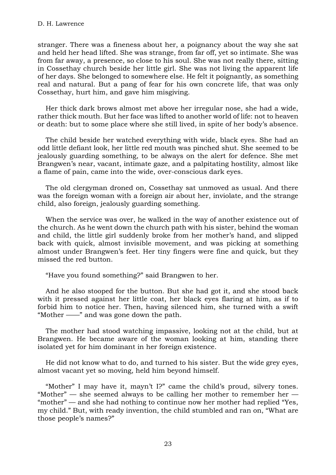stranger. There was a fineness about her, a poignancy about the way she sat and held her head lifted. She was strange, from far off, yet so intimate. She was from far away, a presence, so close to his soul. She was not really there, sitting in Cossethay church beside her little girl. She was not living the apparent life of her days. She belonged to somewhere else. He felt it poignantly, as something real and natural. But a pang of fear for his own concrete life, that was only Cossethay, hurt him, and gave him misgiving.

Her thick dark brows almost met above her irregular nose, she had a wide, rather thick mouth. But her face was lifted to another world of life: not to heaven or death: but to some place where she still lived, in spite of her body's absence.

The child beside her watched everything with wide, black eyes. She had an odd little defiant look, her little red mouth was pinched shut. She seemed to be jealously guarding something, to be always on the alert for defence. She met Brangwen's near, vacant, intimate gaze, and a palpitating hostility, almost like a flame of pain, came into the wide, over-conscious dark eyes.

The old clergyman droned on, Cossethay sat unmoved as usual. And there was the foreign woman with a foreign air about her, inviolate, and the strange child, also foreign, jealously guarding something.

When the service was over, he walked in the way of another existence out of the church. As he went down the church path with his sister, behind the woman and child, the little girl suddenly broke from her mother's hand, and slipped back with quick, almost invisible movement, and was picking at something almost under Brangwen's feet. Her tiny fingers were fine and quick, but they missed the red button.

"Have you found something?" said Brangwen to her.

And he also stooped for the button. But she had got it, and she stood back with it pressed against her little coat, her black eyes flaring at him, as if to forbid him to notice her. Then, having silenced him, she turned with a swift "Mother ——" and was gone down the path.

The mother had stood watching impassive, looking not at the child, but at Brangwen. He became aware of the woman looking at him, standing there isolated yet for him dominant in her foreign existence.

He did not know what to do, and turned to his sister. But the wide grey eyes, almost vacant yet so moving, held him beyond himself.

"Mother" I may have it, mayn't I?" came the child's proud, silvery tones. "Mother" — she seemed always to be calling her mother to remember her  $-$ "mother" — and she had nothing to continue now her mother had replied "Yes, my child." But, with ready invention, the child stumbled and ran on, "What are those people's names?"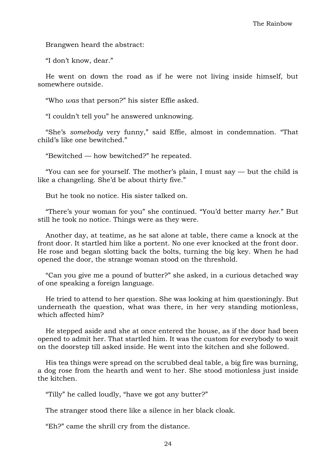Brangwen heard the abstract:

"I don't know, dear."

He went on down the road as if he were not living inside himself, but somewhere outside.

"Who *was* that person?" his sister Effie asked.

"I couldn't tell you" he answered unknowing.

"She's *somebody* very funny," said Effie, almost in condemnation. "That child's like one bewitched."

"Bewitched — how bewitched?" he repeated.

"You can see for yourself. The mother's plain, I must say  $-$  but the child is like a changeling. She'd be about thirty five."

But he took no notice. His sister talked on.

"There's your woman for you" she continued. "You'd better marry *her*." But still he took no notice. Things were as they were.

Another day, at teatime, as he sat alone at table, there came a knock at the front door. It startled him like a portent. No one ever knocked at the front door. He rose and began slotting back the bolts, turning the big key. When he had opened the door, the strange woman stood on the threshold.

"Can you give me a pound of butter?" she asked, in a curious detached way of one speaking a foreign language.

He tried to attend to her question. She was looking at him questioningly. But underneath the question, what was there, in her very standing motionless, which affected him?

He stepped aside and she at once entered the house, as if the door had been opened to admit her. That startled him. It was the custom for everybody to wait on the doorstep till asked inside. He went into the kitchen and she followed.

His tea things were spread on the scrubbed deal table, a big fire was burning, a dog rose from the hearth and went to her. She stood motionless just inside the kitchen.

"Tilly" he called loudly, "have we got any butter?"

The stranger stood there like a silence in her black cloak.

"Eh?" came the shrill cry from the distance.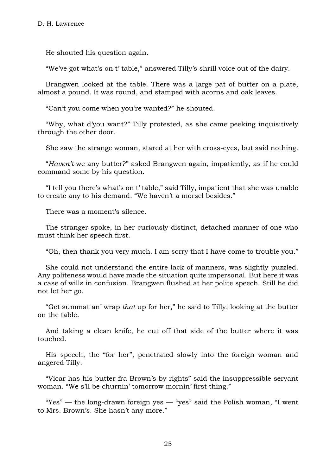He shouted his question again.

"We've got what's on t' table," answered Tilly's shrill voice out of the dairy.

Brangwen looked at the table. There was a large pat of butter on a plate, almost a pound. It was round, and stamped with acorns and oak leaves.

"Can't you come when you're wanted?" he shouted.

"Why, what d'you want?" Tilly protested, as she came peeking inquisitively through the other door.

She saw the strange woman, stared at her with cross-eyes, but said nothing.

"*Haven't* we any butter?" asked Brangwen again, impatiently, as if he could command some by his question.

"I tell you there's what's on t' table," said Tilly, impatient that she was unable to create any to his demand. "We haven't a morsel besides."

There was a moment's silence.

The stranger spoke, in her curiously distinct, detached manner of one who must think her speech first.

"Oh, then thank you very much. I am sorry that I have come to trouble you."

She could not understand the entire lack of manners, was slightly puzzled. Any politeness would have made the situation quite impersonal. But here it was a case of wills in confusion. Brangwen flushed at her polite speech. Still he did not let her go.

"Get summat an' wrap *that* up for her," he said to Tilly, looking at the butter on the table.

And taking a clean knife, he cut off that side of the butter where it was touched.

His speech, the "for her", penetrated slowly into the foreign woman and angered Tilly.

"Vicar has his butter fra Brown's by rights" said the insuppressible servant woman. "We s'll be churnin' tomorrow mornin' first thing."

"Yes" — the long-drawn foreign yes — "yes" said the Polish woman, "I went to Mrs. Brown's. She hasn't any more."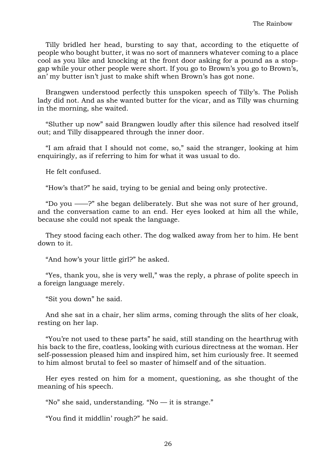Tilly bridled her head, bursting to say that, according to the etiquette of people who bought butter, it was no sort of manners whatever coming to a place cool as you like and knocking at the front door asking for a pound as a stopgap while your other people were short. If you go to Brown's you go to Brown's, an' my butter isn't just to make shift when Brown's has got none.

Brangwen understood perfectly this unspoken speech of Tilly's. The Polish lady did not. And as she wanted butter for the vicar, and as Tilly was churning in the morning, she waited.

"Sluther up now" said Brangwen loudly after this silence had resolved itself out; and Tilly disappeared through the inner door.

"I am afraid that I should not come, so," said the stranger, looking at him enquiringly, as if referring to him for what it was usual to do.

He felt confused.

"How's that?" he said, trying to be genial and being only protective.

"Do you ——?" she began deliberately. But she was not sure of her ground, and the conversation came to an end. Her eyes looked at him all the while, because she could not speak the language.

They stood facing each other. The dog walked away from her to him. He bent down to it.

"And how's your little girl?" he asked.

"Yes, thank you, she is very well," was the reply, a phrase of polite speech in a foreign language merely.

"Sit you down" he said.

And she sat in a chair, her slim arms, coming through the slits of her cloak, resting on her lap.

"You're not used to these parts" he said, still standing on the hearthrug with his back to the fire, coatless, looking with curious directness at the woman. Her self-possession pleased him and inspired him, set him curiously free. It seemed to him almost brutal to feel so master of himself and of the situation.

Her eyes rested on him for a moment, questioning, as she thought of the meaning of his speech.

"No" she said, understanding. "No — it is strange."

"You find it middlin' rough?" he said.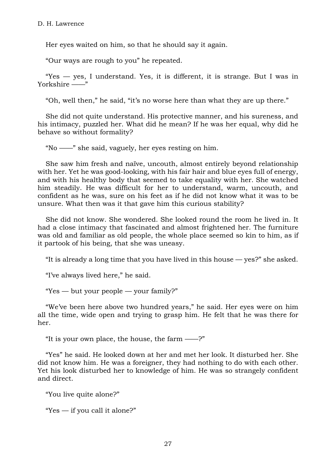Her eyes waited on him, so that he should say it again.

"Our ways are rough to you" he repeated.

"Yes  $-$  yes, I understand. Yes, it is different, it is strange. But I was in Yorkshire ——"

"Oh, well then," he said, "it's no worse here than what they are up there."

She did not quite understand. His protective manner, and his sureness, and his intimacy, puzzled her. What did he mean? If he was her equal, why did he behave so without formality?

"No ——" she said, vaguely, her eyes resting on him.

She saw him fresh and naïve, uncouth, almost entirely beyond relationship with her. Yet he was good-looking, with his fair hair and blue eyes full of energy, and with his healthy body that seemed to take equality with her. She watched him steadily. He was difficult for her to understand, warm, uncouth, and confident as he was, sure on his feet as if he did not know what it was to be unsure. What then was it that gave him this curious stability?

She did not know. She wondered. She looked round the room he lived in. It had a close intimacy that fascinated and almost frightened her. The furniture was old and familiar as old people, the whole place seemed so kin to him, as if it partook of his being, that she was uneasy.

"It is already a long time that you have lived in this house — yes?" she asked.

"I've always lived here," he said.

"Yes — but your people — your family?"

"We've been here above two hundred years," he said. Her eyes were on him all the time, wide open and trying to grasp him. He felt that he was there for her.

"It is your own place, the house, the farm ——?"

"Yes" he said. He looked down at her and met her look. It disturbed her. She did not know him. He was a foreigner, they had nothing to do with each other. Yet his look disturbed her to knowledge of him. He was so strangely confident and direct.

"You live quite alone?"

"Yes — if you call it alone?"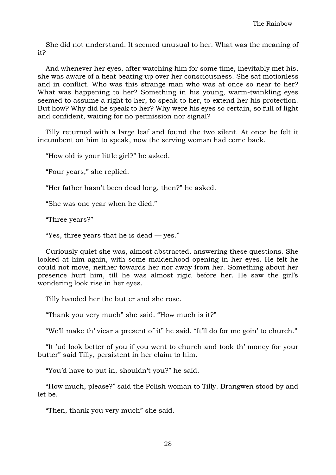She did not understand. It seemed unusual to her. What was the meaning of it?

And whenever her eyes, after watching him for some time, inevitably met his, she was aware of a heat beating up over her consciousness. She sat motionless and in conflict. Who was this strange man who was at once so near to her? What was happening to her? Something in his young, warm-twinkling eyes seemed to assume a right to her, to speak to her, to extend her his protection. But how? Why did he speak to her? Why were his eyes so certain, so full of light and confident, waiting for no permission nor signal?

Tilly returned with a large leaf and found the two silent. At once he felt it incumbent on him to speak, now the serving woman had come back.

"How old is your little girl?" he asked.

"Four years," she replied.

"Her father hasn't been dead long, then?" he asked.

"She was one year when he died."

"Three years?"

"Yes, three years that he is dead  $-$  yes."

Curiously quiet she was, almost abstracted, answering these questions. She looked at him again, with some maidenhood opening in her eyes. He felt he could not move, neither towards her nor away from her. Something about her presence hurt him, till he was almost rigid before her. He saw the girl's wondering look rise in her eyes.

Tilly handed her the butter and she rose.

"Thank you very much" she said. "How much is it?"

"We'll make th' vicar a present of it" he said. "It'll do for me goin' to church."

"It 'ud look better of you if you went to church and took th' money for your butter" said Tilly, persistent in her claim to him.

"You'd have to put in, shouldn't you?" he said.

"How much, please?" said the Polish woman to Tilly. Brangwen stood by and let be.

"Then, thank you very much" she said.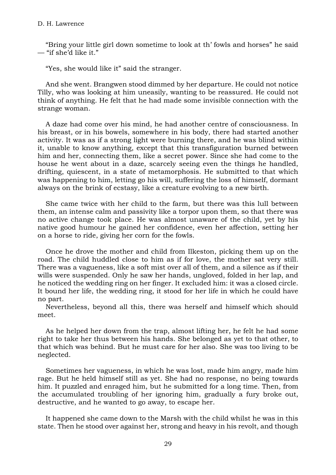"Bring your little girl down sometime to look at th' fowls and horses" he said — "if she'd like it."

"Yes, she would like it" said the stranger.

And she went. Brangwen stood dimmed by her departure. He could not notice Tilly, who was looking at him uneasily, wanting to be reassured. He could not think of anything. He felt that he had made some invisible connection with the strange woman.

A daze had come over his mind, he had another centre of consciousness. In his breast, or in his bowels, somewhere in his body, there had started another activity. It was as if a strong light were burning there, and he was blind within it, unable to know anything, except that this transfiguration burned between him and her, connecting them, like a secret power. Since she had come to the house he went about in a daze, scarcely seeing even the things he handled, drifting, quiescent, in a state of metamorphosis. He submitted to that which was happening to him, letting go his will, suffering the loss of himself, dormant always on the brink of ecstasy, like a creature evolving to a new birth.

She came twice with her child to the farm, but there was this lull between them, an intense calm and passivity like a torpor upon them, so that there was no active change took place. He was almost unaware of the child, yet by his native good humour he gained her confidence, even her affection, setting her on a horse to ride, giving her corn for the fowls.

Once he drove the mother and child from Ilkeston, picking them up on the road. The child huddled close to him as if for love, the mother sat very still. There was a vagueness, like a soft mist over all of them, and a silence as if their wills were suspended. Only he saw her hands, ungloved, folded in her lap, and he noticed the wedding ring on her finger. It excluded him: it was a closed circle. It bound her life, the wedding ring, it stood for her life in which he could have no part.

Nevertheless, beyond all this, there was herself and himself which should meet.

As he helped her down from the trap, almost lifting her, he felt he had some right to take her thus between his hands. She belonged as yet to that other, to that which was behind. But he must care for her also. She was too living to be neglected.

Sometimes her vagueness, in which he was lost, made him angry, made him rage. But he held himself still as yet. She had no response, no being towards him. It puzzled and enraged him, but he submitted for a long time. Then, from the accumulated troubling of her ignoring him, gradually a fury broke out, destructive, and he wanted to go away, to escape her.

It happened she came down to the Marsh with the child whilst he was in this state. Then he stood over against her, strong and heavy in his revolt, and though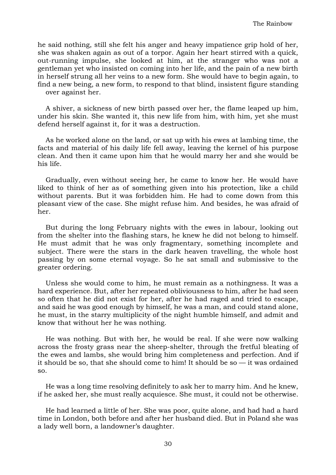he said nothing, still she felt his anger and heavy impatience grip hold of her, she was shaken again as out of a torpor. Again her heart stirred with a quick, out-running impulse, she looked at him, at the stranger who was not a gentleman yet who insisted on coming into her life, and the pain of a new birth in herself strung all her veins to a new form. She would have to begin again, to find a new being, a new form, to respond to that blind, insistent figure standing over against her.

A shiver, a sickness of new birth passed over her, the flame leaped up him, under his skin. She wanted it, this new life from him, with him, yet she must defend herself against it, for it was a destruction.

As he worked alone on the land, or sat up with his ewes at lambing time, the facts and material of his daily life fell away, leaving the kernel of his purpose clean. And then it came upon him that he would marry her and she would be his life.

Gradually, even without seeing her, he came to know her. He would have liked to think of her as of something given into his protection, like a child without parents. But it was forbidden him. He had to come down from this pleasant view of the case. She might refuse him. And besides, he was afraid of her.

But during the long February nights with the ewes in labour, looking out from the shelter into the flashing stars, he knew he did not belong to himself. He must admit that he was only fragmentary, something incomplete and subject. There were the stars in the dark heaven travelling, the whole host passing by on some eternal voyage. So he sat small and submissive to the greater ordering.

Unless she would come to him, he must remain as a nothingness. It was a hard experience. But, after her repeated obliviousness to him, after he had seen so often that he did not exist for her, after he had raged and tried to escape, and said he was good enough by himself, he was a man, and could stand alone, he must, in the starry multiplicity of the night humble himself, and admit and know that without her he was nothing.

He was nothing. But with her, he would be real. If she were now walking across the frosty grass near the sheep-shelter, through the fretful bleating of the ewes and lambs, she would bring him completeness and perfection. And if it should be so, that she should come to him! It should be so — it was ordained so.

He was a long time resolving definitely to ask her to marry him. And he knew, if he asked her, she must really acquiesce. She must, it could not be otherwise.

He had learned a little of her. She was poor, quite alone, and had had a hard time in London, both before and after her husband died. But in Poland she was a lady well born, a landowner's daughter.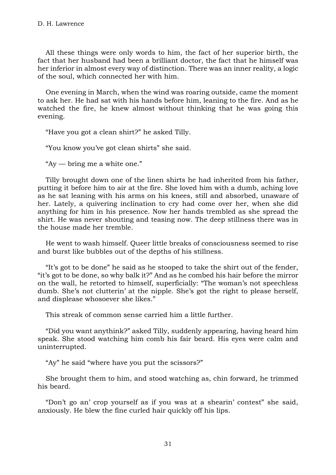All these things were only words to him, the fact of her superior birth, the fact that her husband had been a brilliant doctor, the fact that he himself was her inferior in almost every way of distinction. There was an inner reality, a logic of the soul, which connected her with him.

One evening in March, when the wind was roaring outside, came the moment to ask her. He had sat with his hands before him, leaning to the fire. And as he watched the fire, he knew almost without thinking that he was going this evening.

"Have you got a clean shirt?" he asked Tilly.

"You know you've got clean shirts" she said.

"Ay — bring me a white one."

Tilly brought down one of the linen shirts he had inherited from his father, putting it before him to air at the fire. She loved him with a dumb, aching love as he sat leaning with his arms on his knees, still and absorbed, unaware of her. Lately, a quivering inclination to cry had come over her, when she did anything for him in his presence. Now her hands trembled as she spread the shirt. He was never shouting and teasing now. The deep stillness there was in the house made her tremble.

He went to wash himself. Queer little breaks of consciousness seemed to rise and burst like bubbles out of the depths of his stillness.

"It's got to be done" he said as he stooped to take the shirt out of the fender, "it's got to be done, so why balk it?" And as he combed his hair before the mirror on the wall, he retorted to himself, superficially: "The woman's not speechless dumb. She's not clutterin' at the nipple. She's got the right to please herself, and displease whosoever she likes."

This streak of common sense carried him a little further.

"Did you want anythink?" asked Tilly, suddenly appearing, having heard him speak. She stood watching him comb his fair beard. His eyes were calm and uninterrupted.

"Ay" he said "where have you put the scissors?"

She brought them to him, and stood watching as, chin forward, he trimmed his beard.

"Don't go an' crop yourself as if you was at a shearin' contest" she said, anxiously. He blew the fine curled hair quickly off his lips.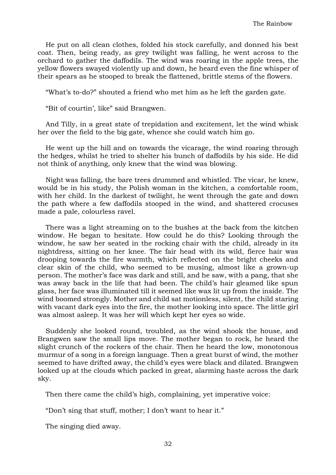He put on all clean clothes, folded his stock carefully, and donned his best coat. Then, being ready, as grey twilight was falling, he went across to the orchard to gather the daffodils. The wind was roaring in the apple trees, the yellow flowers swayed violently up and down, he heard even the fine whisper of their spears as he stooped to break the flattened, brittle stems of the flowers.

"What's to-do?" shouted a friend who met him as he left the garden gate.

"Bit of courtin', like" said Brangwen.

And Tilly, in a great state of trepidation and excitement, let the wind whisk her over the field to the big gate, whence she could watch him go.

He went up the hill and on towards the vicarage, the wind roaring through the hedges, whilst he tried to shelter his bunch of daffodils by his side. He did not think of anything, only knew that the wind was blowing.

Night was falling, the bare trees drummed and whistled. The vicar, he knew, would be in his study, the Polish woman in the kitchen, a comfortable room, with her child. In the darkest of twilight, he went through the gate and down the path where a few daffodils stooped in the wind, and shattered crocuses made a pale, colourless ravel.

There was a light streaming on to the bushes at the back from the kitchen window. He began to hesitate. How could he do this? Looking through the window, he saw her seated in the rocking chair with the child, already in its nightdress, sitting on her knee. The fair head with its wild, fierce hair was drooping towards the fire warmth, which reflected on the bright cheeks and clear skin of the child, who seemed to be musing, almost like a grown-up person. The mother's face was dark and still, and he saw, with a pang, that she was away back in the life that had been. The child's hair gleamed like spun glass, her face was illuminated till it seemed like wax lit up from the inside. The wind boomed strongly. Mother and child sat motionless, silent, the child staring with vacant dark eyes into the fire, the mother looking into space. The little girl was almost asleep. It was her will which kept her eyes so wide.

Suddenly she looked round, troubled, as the wind shook the house, and Brangwen saw the small lips move. The mother began to rock, he heard the slight crunch of the rockers of the chair. Then he heard the low, monotonous murmur of a song in a foreign language. Then a great burst of wind, the mother seemed to have drifted away, the child's eyes were black and dilated. Brangwen looked up at the clouds which packed in great, alarming haste across the dark sky.

Then there came the child's high, complaining, yet imperative voice:

"Don't sing that stuff, mother; I don't want to hear it."

The singing died away.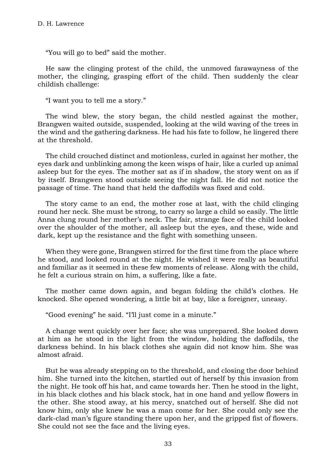"You will go to bed" said the mother.

He saw the clinging protest of the child, the unmoved farawayness of the mother, the clinging, grasping effort of the child. Then suddenly the clear childish challenge:

"I want you to tell me a story."

The wind blew, the story began, the child nestled against the mother, Brangwen waited outside, suspended, looking at the wild waving of the trees in the wind and the gathering darkness. He had his fate to follow, he lingered there at the threshold.

The child crouched distinct and motionless, curled in against her mother, the eyes dark and unblinking among the keen wisps of hair, like a curled up animal asleep but for the eyes. The mother sat as if in shadow, the story went on as if by itself. Brangwen stood outside seeing the night fall. He did not notice the passage of time. The hand that held the daffodils was fixed and cold.

The story came to an end, the mother rose at last, with the child clinging round her neck. She must be strong, to carry so large a child so easily. The little Anna clung round her mother's neck. The fair, strange face of the child looked over the shoulder of the mother, all asleep but the eyes, and these, wide and dark, kept up the resistance and the fight with something unseen.

When they were gone, Brangwen stirred for the first time from the place where he stood, and looked round at the night. He wished it were really as beautiful and familiar as it seemed in these few moments of release. Along with the child, he felt a curious strain on him, a suffering, like a fate.

The mother came down again, and began folding the child's clothes. He knocked. She opened wondering, a little bit at bay, like a foreigner, uneasy.

"Good evening" he said. "I'll just come in a minute."

A change went quickly over her face; she was unprepared. She looked down at him as he stood in the light from the window, holding the daffodils, the darkness behind. In his black clothes she again did not know him. She was almost afraid.

But he was already stepping on to the threshold, and closing the door behind him. She turned into the kitchen, startled out of herself by this invasion from the night. He took off his hat, and came towards her. Then he stood in the light, in his black clothes and his black stock, hat in one hand and yellow flowers in the other. She stood away, at his mercy, snatched out of herself. She did not know him, only she knew he was a man come for her. She could only see the dark-clad man's figure standing there upon her, and the gripped fist of flowers. She could not see the face and the living eyes.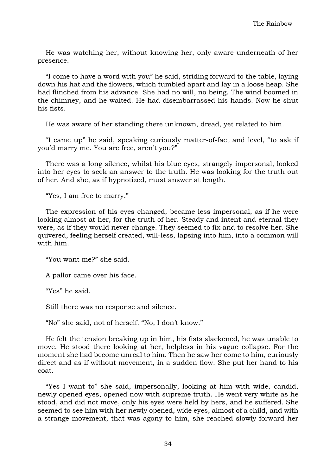He was watching her, without knowing her, only aware underneath of her presence.

"I come to have a word with you" he said, striding forward to the table, laying down his hat and the flowers, which tumbled apart and lay in a loose heap. She had flinched from his advance. She had no will, no being. The wind boomed in the chimney, and he waited. He had disembarrassed his hands. Now he shut his fists.

He was aware of her standing there unknown, dread, yet related to him.

"I came up" he said, speaking curiously matter-of-fact and level, "to ask if you'd marry me. You are free, aren't you?"

There was a long silence, whilst his blue eyes, strangely impersonal, looked into her eyes to seek an answer to the truth. He was looking for the truth out of her. And she, as if hypnotized, must answer at length.

"Yes, I am free to marry."

The expression of his eyes changed, became less impersonal, as if he were looking almost at her, for the truth of her. Steady and intent and eternal they were, as if they would never change. They seemed to fix and to resolve her. She quivered, feeling herself created, will-less, lapsing into him, into a common will with him.

"You want me?" she said.

A pallor came over his face.

"Yes" he said.

Still there was no response and silence.

"No" she said, not of herself. "No, I don't know."

He felt the tension breaking up in him, his fists slackened, he was unable to move. He stood there looking at her, helpless in his vague collapse. For the moment she had become unreal to him. Then he saw her come to him, curiously direct and as if without movement, in a sudden flow. She put her hand to his coat.

"Yes I want to" she said, impersonally, looking at him with wide, candid, newly opened eyes, opened now with supreme truth. He went very white as he stood, and did not move, only his eyes were held by hers, and he suffered. She seemed to see him with her newly opened, wide eyes, almost of a child, and with a strange movement, that was agony to him, she reached slowly forward her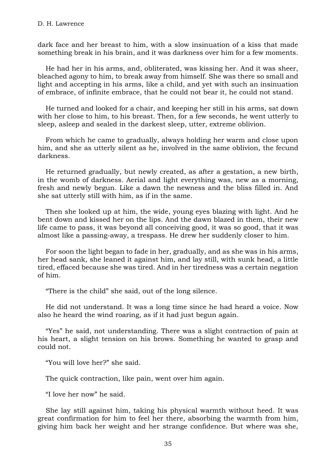dark face and her breast to him, with a slow insinuation of a kiss that made something break in his brain, and it was darkness over him for a few moments.

He had her in his arms, and, obliterated, was kissing her. And it was sheer, bleached agony to him, to break away from himself. She was there so small and light and accepting in his arms, like a child, and yet with such an insinuation of embrace, of infinite embrace, that he could not bear it, he could not stand.

He turned and looked for a chair, and keeping her still in his arms, sat down with her close to him, to his breast. Then, for a few seconds, he went utterly to sleep, asleep and sealed in the darkest sleep, utter, extreme oblivion.

From which he came to gradually, always holding her warm and close upon him, and she as utterly silent as he, involved in the same oblivion, the fecund darkness.

He returned gradually, but newly created, as after a gestation, a new birth, in the womb of darkness. Aerial and light everything was, new as a morning, fresh and newly begun. Like a dawn the newness and the bliss filled in. And she sat utterly still with him, as if in the same.

Then she looked up at him, the wide, young eyes blazing with light. And he bent down and kissed her on the lips. And the dawn blazed in them, their new life came to pass, it was beyond all conceiving good, it was so good, that it was almost like a passing-away, a trespass. He drew her suddenly closer to him.

For soon the light began to fade in her, gradually, and as she was in his arms, her head sank, she leaned it against him, and lay still, with sunk head, a little tired, effaced because she was tired. And in her tiredness was a certain negation of him.

"There is the child" she said, out of the long silence.

He did not understand. It was a long time since he had heard a voice. Now also he heard the wind roaring, as if it had just begun again.

"Yes" he said, not understanding. There was a slight contraction of pain at his heart, a slight tension on his brows. Something he wanted to grasp and could not.

"You will love her?" she said.

The quick contraction, like pain, went over him again.

"I love her now" he said.

She lay still against him, taking his physical warmth without heed. It was great confirmation for him to feel her there, absorbing the warmth from him, giving him back her weight and her strange confidence. But where was she,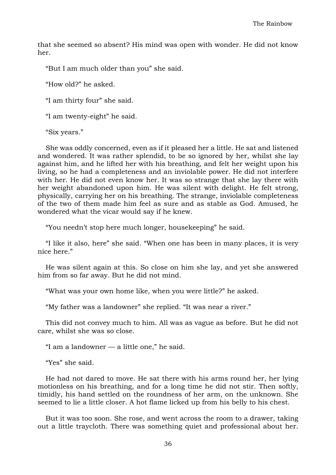that she seemed so absent? His mind was open with wonder. He did not know her.

"But I am much older than you" she said.

"How old?" he asked.

"I am thirty four" she said.

"I am twenty-eight" he said.

"Six years."

She was oddly concerned, even as if it pleased her a little. He sat and listened and wondered. It was rather splendid, to be so ignored by her, whilst she lay against him, and he lifted her with his breathing, and felt her weight upon his living, so he had a completeness and an inviolable power. He did not interfere with her. He did not even know her. It was so strange that she lay there with her weight abandoned upon him. He was silent with delight. He felt strong, physically, carrying her on his breathing. The strange, inviolable completeness of the two of them made him feel as sure and as stable as God. Amused, he wondered what the vicar would say if he knew.

"You needn't stop here much longer, housekeeping" he said.

"I like it also, here" she said. "When one has been in many places, it is very nice here."

He was silent again at this. So close on him she lay, and yet she answered him from so far away. But he did not mind.

"What was your own home like, when you were little?" he asked.

"My father was a landowner" she replied. "It was near a river."

This did not convey much to him. All was as vague as before. But he did not care, whilst she was so close.

"I am a landowner — a little one," he said.

"Yes" she said.

He had not dared to move. He sat there with his arms round her, her lying motionless on his breathing, and for a long time he did not stir. Then softly, timidly, his hand settled on the roundness of her arm, on the unknown. She seemed to lie a little closer. A hot flame licked up from his belly to his chest.

But it was too soon. She rose, and went across the room to a drawer, taking out a little traycloth. There was something quiet and professional about her.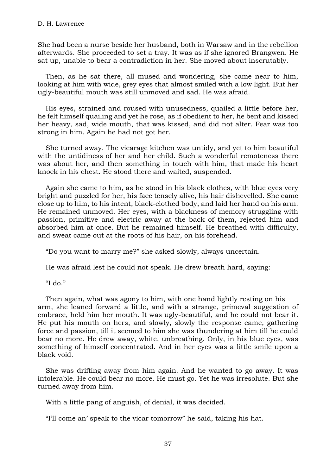She had been a nurse beside her husband, both in Warsaw and in the rebellion afterwards. She proceeded to set a tray. It was as if she ignored Brangwen. He sat up, unable to bear a contradiction in her. She moved about inscrutably.

Then, as he sat there, all mused and wondering, she came near to him, looking at him with wide, grey eyes that almost smiled with a low light. But her ugly-beautiful mouth was still unmoved and sad. He was afraid.

His eyes, strained and roused with unusedness, quailed a little before her, he felt himself quailing and yet he rose, as if obedient to her, he bent and kissed her heavy, sad, wide mouth, that was kissed, and did not alter. Fear was too strong in him. Again he had not got her.

She turned away. The vicarage kitchen was untidy, and yet to him beautiful with the untidiness of her and her child. Such a wonderful remoteness there was about her, and then something in touch with him, that made his heart knock in his chest. He stood there and waited, suspended.

Again she came to him, as he stood in his black clothes, with blue eyes very bright and puzzled for her, his face tensely alive, his hair dishevelled. She came close up to him, to his intent, black-clothed body, and laid her hand on his arm. He remained unmoved. Her eyes, with a blackness of memory struggling with passion, primitive and electric away at the back of them, rejected him and absorbed him at once. But he remained himself. He breathed with difficulty, and sweat came out at the roots of his hair, on his forehead.

"Do you want to marry me?" she asked slowly, always uncertain.

He was afraid lest he could not speak. He drew breath hard, saying:

## "I do."

Then again, what was agony to him, with one hand lightly resting on his arm, she leaned forward a little, and with a strange, primeval suggestion of embrace, held him her mouth. It was ugly-beautiful, and he could not bear it. He put his mouth on hers, and slowly, slowly the response came, gathering force and passion, till it seemed to him she was thundering at him till he could bear no more. He drew away, white, unbreathing. Only, in his blue eyes, was something of himself concentrated. And in her eyes was a little smile upon a black void.

She was drifting away from him again. And he wanted to go away. It was intolerable. He could bear no more. He must go. Yet he was irresolute. But she turned away from him.

With a little pang of anguish, of denial, it was decided.

"I'll come an' speak to the vicar tomorrow" he said, taking his hat.